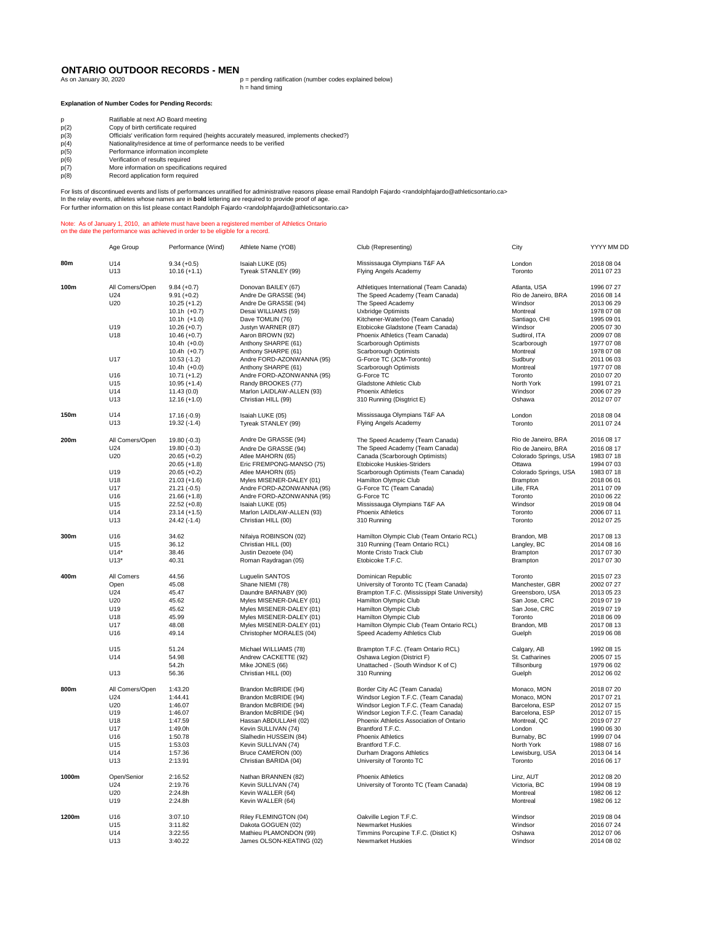## **ONTARIO OUTDOOR RECORDS - MEN**<br>As on January 30, 2020

 $p =$  pending ratification (number codes explained below)  $h =$  hand timing

## **Explanation of Number Codes for Pending Records:**

|  |  | Ratifiable at next AO Board meetir |
|--|--|------------------------------------|
|  |  |                                    |

- 
- p Ratifiable at next AO Board meeting p(2) Copy of birth certificate required p(3) Officials' verification form required (heights accurately measured, implements checked?) p(4) Nationality/residence at time of performance needs to be verified
- p(2) copy of birth certificate required<br>p(3) Officials' verification form required (h<br>p(4) Nationality/residence at time of performance information incomplete<br>p(6) Performance information incomplete<br>p(6) Verification of re
- 
- p(6) Verification of results required p(7) More information on specifications required
- p(7) More information on specifications<br>p(8) Record application form required

For lists of discontinued events and lists of performances unratified for administrative reasons please email Randolph Fajardo <randolphfajardo@athleticsontario.ca><br>In the relay events, athletes whose names are in **bold**

## Note: As of January 1, 2010, an athlete must have been a registered member of Athletics Ontario on the date the performance was achieved in order to be eligible for a record.

|       | Age Group       | Performance (Wind) | Athlete Name (YOB)        | Club (Representing)                            | City                  | YYYY MM DD |
|-------|-----------------|--------------------|---------------------------|------------------------------------------------|-----------------------|------------|
| 80m   | U14             | $9.34 (+0.5)$      | Isaiah LUKE (05)          | Mississauga Olympians T&F AA                   | London                | 2018 08 04 |
|       | U13             | $10.16 (+1.1)$     | Tyreak STANLEY (99)       | Flying Angels Academy                          | Toronto               | 2011 07 23 |
| 100m  | All Comers/Open | $9.84 (+0.7)$      | Donovan BAILEY (67)       | Athletiques International (Team Canada)        | Atlanta, USA          | 1996 07 27 |
|       | U24             | $9.91 (+0.2)$      | Andre De GRASSE (94)      | The Speed Academy (Team Canada)                | Rio de Janeiro, BRA   | 2016 08 14 |
|       | U20             | $10.25 (+1.2)$     | Andre De GRASSE (94)      | The Speed Academy                              | Windsor               | 2013 06 29 |
|       |                 | $10.1h$ $(+0.7)$   | Desai WILLIAMS (59)       | <b>Uxbridge Optimists</b>                      | Montreal              | 1978 07 08 |
|       |                 | $10.1h (+1.0)$     | Dave TOMLIN (76)          | Kitchener-Waterloo (Team Canada)               | Santiago, CHI         | 1995 09 01 |
|       | U19             | $10.26 (+0.7)$     | Justyn WARNER (87)        | Etobicoke Gladstone (Team Canada)              | Windsor               | 2005 07 30 |
|       | U18             | $10.46 (+0.7)$     | Aaron BROWN (92)          | Phoenix Athletics (Team Canada)                | Sudtirol, ITA         | 2009 07 08 |
|       |                 | $10.4h$ $(+0.0)$   | Anthony SHARPE (61)       | Scarborough Optimists                          | Scarborough           | 1977 07 08 |
|       |                 | 10.4h $(+0.7)$     | Anthony SHARPE (61)       | Scarborough Optimists                          | Montreal              | 1978 07 08 |
|       | U17             | $10.53(-1.2)$      | Andre FORD-AZONWANNA (95) | G-Force TC (JCM-Toronto)                       | Sudbury               | 2011 06 03 |
|       |                 | $10.4h$ $(+0.0)$   | Anthony SHARPE (61)       | Scarborough Optimists                          | Montreal              | 1977 07 08 |
|       | U16             | $10.71 (+1.2)$     | Andre FORD-AZONWANNA (95) | G-Force TC                                     | Toronto               | 2010 07 20 |
|       | U15             | $10.95 (+1.4)$     | Randy BROOKES (77)        | Gladstone Athletic Club                        | North York            | 1991 07 21 |
|       | U14             | 11.43(0.0)         | Marlon LAIDLAW-ALLEN (93) | <b>Phoenix Athletics</b>                       | Windsor               | 2006 07 29 |
|       | U13             | $12.16 (+1.0)$     | Christian HILL (99)       | 310 Running (Disgtrict E)                      | Oshawa                | 2012 07 07 |
| 150m  | U14             | 17.16 (-0.9)       | Isaiah LUKE (05)          | Mississauga Olympians T&F AA                   | London                | 2018 08 04 |
|       | U13             | 19.32 (-1.4)       | Tyreak STANLEY (99)       | <b>Flying Angels Academy</b>                   | Toronto               | 2011 07 24 |
| 200m  | All Comers/Open | 19.80 (-0.3)       | Andre De GRASSE (94)      | The Speed Academy (Team Canada)                | Rio de Janeiro, BRA   | 2016 08 17 |
|       | U24             | 19.80 (-0.3)       | Andre De GRASSE (94)      | The Speed Academy (Team Canada)                | Rio de Janeiro, BRA   | 2016 08 17 |
|       | U20             | $20.65 (+0.2)$     | Atlee MAHORN (65)         | Canada (Scarborough Optimists)                 | Colorado Springs, USA | 1983 07 18 |
|       |                 | $20.65 (+1.8)$     | Eric FREMPONG-MANSO (75)  | Etobicoke Huskies-Striders                     | Ottawa                | 1994 07 03 |
|       | U19             | $20.65 (+0.2)$     | Atlee MAHORN (65)         | Scarborough Optimists (Team Canada)            | Colorado Springs, USA | 1983 07 18 |
|       | U18             | $21.03 (+1.6)$     | Myles MISENER-DALEY (01)  | Hamilton Olympic Club                          | Brampton              | 2018 06 01 |
|       | U17             | $21.21(-0.5)$      | Andre FORD-AZONWANNA (95) | G-Force TC (Team Canada)                       | Lille, FRA            | 2011 07 09 |
|       | U16             | $21.66 (+1.8)$     | Andre FORD-AZONWANNA (95) | G-Force TC                                     | Toronto               | 2010 06 22 |
|       | U15             | $22.52 (+0.8)$     | Isaiah LUKE (05)          | Mississauga Olympians T&F AA                   | Windsor               | 2019 08 04 |
|       | U14             | $23.14 (+1.5)$     | Marlon LAIDLAW-ALLEN (93) | <b>Phoenix Athletics</b>                       | Toronto               | 2006 07 11 |
|       | U13             | 24.42 (-1.4)       | Christian HILL (00)       | 310 Running                                    | Toronto               | 2012 07 25 |
| 300m  | U16             | 34.62              | Nifaiya ROBINSON (02)     | Hamilton Olympic Club (Team Ontario RCL)       | Brandon, MB           | 2017 08 13 |
|       | U15             | 36.12              | Christian HILL (00)       | 310 Running (Team Ontario RCL)                 | Langley, BC           | 2014 08 16 |
|       | $U14*$          | 38.46              | Justin Dezoete (04)       | Monte Cristo Track Club                        | Brampton              | 2017 07 30 |
|       | $U13*$          | 40.31              | Roman Raydragan (05)      | Etobicoke T.F.C.                               | Brampton              | 2017 07 30 |
| 400m  | All Comers      | 44.56              | Luguelin SANTOS           | Dominican Republic                             | Toronto               | 2015 07 23 |
|       | Open            | 45.08              | Shane NIEMI (78)          | University of Toronto TC (Team Canada)         | Manchester, GBR       | 2002 07 27 |
|       | U24             | 45.47              | Daundre BARNABY (90)      | Brampton T.F.C. (Mississippi State University) | Greensboro, USA       | 2013 05 23 |
|       | U20             | 45.62              | Myles MISENER-DALEY (01)  | Hamilton Olympic Club                          | San Jose, CRC         | 2019 07 19 |
|       | U19             | 45.62              | Myles MISENER-DALEY (01)  | Hamilton Olympic Club                          | San Jose, CRC         | 2019 07 19 |
|       | U18             | 45.99              | Myles MISENER-DALEY (01)  | Hamilton Olympic Club                          | Toronto               | 2018 06 09 |
|       | U17             | 48.08              | Myles MISENER-DALEY (01)  | Hamilton Olympic Club (Team Ontario RCL)       | Brandon, MB           | 2017 08 13 |
|       | U16             | 49.14              | Christopher MORALES (04)  | Speed Academy Athletics Club                   | Guelph                | 2019 06 08 |
|       | U15             | 51.24              | Michael WILLIAMS (78)     | Brampton T.F.C. (Team Ontario RCL)             | Calgary, AB           | 1992 08 15 |
|       | U14             | 54.98              | Andrew CACKETTE (92)      | Oshawa Legion (District F)                     | St. Catharines        | 2005 07 15 |
|       |                 | 54.2h              | Mike JONES (66)           | Unattached - (South Windsor K of C)            | Tillsonburg           | 1979 06 02 |
|       | U13             | 56.36              | Christian HILL (00)       | 310 Running                                    | Guelph                | 2012 06 02 |
| 800m  | All Comers/Open | 1:43.20            | Brandon McBRIDE (94)      | Border City AC (Team Canada)                   | Monaco, MON           | 2018 07 20 |
|       | U24             | 1:44.41            | Brandon McBRIDE (94)      | Windsor Legion T.F.C. (Team Canada)            | Monaco, MON           | 2017 07 21 |
|       | U20             | 1:46.07            | Brandon McBRIDE (94)      | Windsor Legion T.F.C. (Team Canada)            | Barcelona, ESP        | 2012 07 15 |
|       | U19             | 1:46.07            | Brandon McBRIDE (94)      | Windsor Legion T.F.C. (Team Canada)            | Barcelona, ESP        | 2012 07 15 |
|       | U18             | 1:47.59            | Hassan ABDULLAHI (02)     | Phoenix Athletics Association of Ontario       | Montreal, QC          | 2019 07 27 |
|       | U17             | 1:49.0h            | Kevin SULLIVAN (74)       | Brantford T.F.C.                               | London                | 1990 06 30 |
|       | U16             | 1:50.78            | Slalhedin HUSSEIN (84)    | <b>Phoenix Athletics</b>                       | Burnaby, BC           | 1999 07 04 |
|       | U15             | 1:53.03            | Kevin SULLIVAN (74)       | Brantford T.F.C.                               | North York            | 1988 07 16 |
|       | U14             | 1:57.36            | Bruce CAMERON (00)        | Durham Dragons Athletics                       | Lewisburg, USA        | 2013 04 14 |
|       | U13             | 2:13.91            | Christian BARIDA (04)     | University of Toronto TC                       | Toronto               | 2016 06 17 |
| 1000m | Open/Senior     | 2:16.52            | Nathan BRANNEN (82)       | <b>Phoenix Athletics</b>                       | Linz, AUT             | 2012 08 20 |
|       | U24             | 2:19.76            | Kevin SULLIVAN (74)       | University of Toronto TC (Team Canada)         | Victoria, BC          | 1994 08 19 |
|       | U20             | 2:24.8h            | Kevin WALLER (64)         |                                                | Montreal              | 1982 06 12 |
|       | U19             | 2:24.8h            | Kevin WALLER (64)         |                                                | Montreal              | 1982 06 12 |
| 1200m | U16             | 3:07.10            | Riley FLEMINGTON (04)     | Oakville Legion T.F.C.                         | Windsor               | 2019 08 04 |
|       | U15             | 3:11.82            | Dakota GOGUEN (02)        | Newmarket Huskies                              | Windsor               | 2016 07 24 |
|       | U14             | 3:22.55            | Mathieu PLAMONDON (99)    | Timmins Porcupine T.F.C. (Distict K)           | Oshawa                | 2012 07 06 |
|       | U13             | 3:40.22            | James OLSON-KEATING (02)  | Newmarket Huskies                              | Windsor               | 2014 08 02 |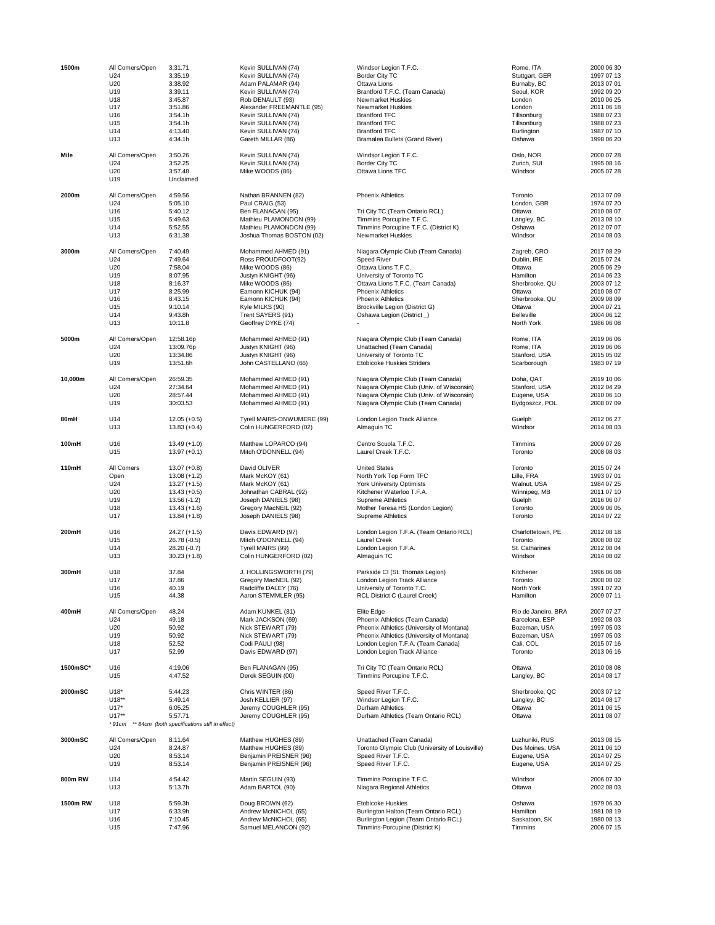| 1500m    | All Comers/Open | 3:31.71                                       | Kevin SULLIVAN (74)                  | Windsor Legion T.F.C.                                              | Rome, ITA            | 2000 06 30               |
|----------|-----------------|-----------------------------------------------|--------------------------------------|--------------------------------------------------------------------|----------------------|--------------------------|
|          | U24             | 3:35.19                                       | Kevin SULLIVAN (74)                  | Border City TC                                                     | Stuttgart, GER       | 1997 07 13               |
|          | U20             | 3:38.92                                       | Adam PALAMAR (94)                    | Ottawa Lions                                                       | Burnaby, BC          | 2013 07 01               |
|          | U19             | 3:39.11                                       | Kevin SULLIVAN (74)                  | Brantford T.F.C. (Team Canada)                                     | Seoul, KOR           | 1992 09 20               |
|          | U18             | 3:45.87                                       | Rob DENAULT (93)                     | <b>Newmarket Huskies</b>                                           | London               | 2010 06 25               |
|          | U17             | 3:51.86                                       | Alexander FREEMANTLE (95)            | Newmarket Huskies                                                  | London               | 2011 06 18               |
|          | U16             | 3:54.1h                                       | Kevin SULLIVAN (74)                  | <b>Brantford TFC</b>                                               | Tillsonburg          | 1988 07 23               |
|          | U15             |                                               |                                      | <b>Brantford TFC</b>                                               |                      | 1988 07 23               |
|          |                 | 3:54.1h<br>4:13.40                            | Kevin SULLIVAN (74)                  |                                                                    | Tillsonburg          |                          |
|          | U14<br>U13      |                                               | Kevin SULLIVAN (74)                  | <b>Brantford TFC</b><br>Bramalea Bullets (Grand River)             | Burlington           | 1987 07 10               |
|          |                 | 4:34.1h                                       | Gareth MILLAR (86)                   |                                                                    | Oshawa               | 1998 06 20               |
| Mile     | All Comers/Open | 3:50.26                                       | Kevin SULLIVAN (74)                  | Windsor Legion T.F.C.                                              | Oslo, NOR            | 2000 07 28               |
|          | U24             | 3:52.25                                       | Kevin SULLIVAN (74)                  | Border City TC                                                     | Zurich, SUI          | 1995 08 16               |
|          | U20             | 3:57.48                                       | Mike WOODS (86)                      | Ottawa Lions TFC                                                   | Windsor              | 2005 07 28               |
|          | U19             | Unclaimed                                     |                                      |                                                                    |                      |                          |
|          |                 |                                               |                                      |                                                                    |                      |                          |
| 2000m    | All Comers/Open | 4:59.56                                       | Nathan BRANNEN (82)                  | Phoenix Athletics                                                  | Toronto              | 2013 07 09               |
|          | U24             | 5:05.10                                       | Paul CRAIG (53)                      |                                                                    | London, GBR          | 1974 07 20               |
|          | U16             | 5:40.12                                       | Ben FLANAGAN (95)                    | Tri City TC (Team Ontario RCL)                                     | Ottawa               | 2010 08 07               |
|          | U15             | 5:49.63                                       | Mathieu PLAMONDON (99)               | Timmins Porcupine T.F.C.                                           | Langley, BC          | 2013 08 10               |
|          | U14             | 5:52.55                                       | Mathieu PLAMONDON (99)               | Timmins Porcupine T.F.C. (District K)                              | Oshawa               | 2012 07 07               |
|          | U13             | 6:31.38                                       | Joshua Thomas BOSTON (02)            | Newmarket Huskies                                                  | Windsor              | 2014 08 03               |
|          |                 |                                               |                                      |                                                                    |                      |                          |
| 3000m    | All Comers/Open | 7:40.49                                       | Mohammed AHMED (91)                  | Niagara Olympic Club (Team Canada)                                 | Zagreb, CRO          | 2017 08 29               |
|          | U24             | 7:49.64                                       | Ross PROUDFOOT(92)                   | <b>Speed River</b>                                                 | Dublin, IRE          | 2015 07 24               |
|          | U20             | 7:58.04                                       | Mike WOODS (86)                      | Ottawa Lions T.F.C.                                                | Ottawa               | 2005 06 29               |
|          | U19             | 8:07.95                                       | Justyn KNIGHT (96)                   | University of Toronto TC                                           | Hamilton             | 2014 06 23               |
|          | U18             | 8:16.37                                       | Mike WOODS (86)                      | Ottawa Lions T.F.C. (Team Canada)                                  | Sherbrooke, QU       | 2003 07 12               |
|          | U17             | 8:25.99                                       | Eamonn KICHUK (94)                   | <b>Phoenix Athletics</b>                                           | Ottawa               | 2010 08 07               |
|          | U16             | 8:43.15                                       | Eamonn KICHUK (94)                   | <b>Phoenix Athletics</b>                                           | Sherbrooke, QU       | 2009 08 09               |
|          | U15             | 9:10.14                                       | Kyle MILKS (90)                      | Brockville Legion (District G)                                     | Ottawa               | 2004 07 21               |
|          | U14             | 9:43.8h                                       | Trent SAYERS (91)                    | Oshawa Legion (District_)                                          | <b>Belleville</b>    | 2004 06 12               |
|          | U13             | 10:11.8                                       | Geoffrey DYKE (74)                   |                                                                    | North York           | 1986 06 08               |
|          |                 |                                               |                                      |                                                                    |                      |                          |
| 5000m    | All Comers/Open | 12:58.16p                                     | Mohammed AHMED (91)                  | Niagara Olympic Club (Team Canada)                                 | Rome, ITA            | 2019 06 06               |
|          | U <sub>24</sub> | 13:09.76p                                     | Justyn KNIGHT (96)                   | Unattached (Team Canada)                                           | Rome, ITA            | 2019 06 06               |
|          | U20             | 13:34.86                                      | Justyn KNIGHT (96)                   | University of Toronto TC                                           | Stanford, USA        | 2015 05 02               |
|          | U19             | 13:51.6h                                      | John CASTELLANO (66)                 | <b>Etobicoke Huskies Striders</b>                                  | Scarborough          | 1983 07 19               |
| 10,000m  | All Comers/Open | 26:59.35                                      | Mohammed AHMED (91)                  | Niagara Olympic Club (Team Canada)                                 | Doha, QAT            | 2019 10 06               |
|          | U24             | 27:34.64                                      | Mohammed AHMED (91)                  | Niagara Olympic Club (Univ. of Wisconsin)                          | Stanford, USA        | 2012 04 29               |
|          |                 |                                               |                                      | Niagara Olympic Club (Univ. of Wisconsin)                          |                      |                          |
|          | U20             | 28:57.44                                      | Mohammed AHMED (91)                  |                                                                    | Eugene, USA          | 2010 06 10               |
|          | U19             | 30:03.53                                      | Mohammed AHMED (91)                  | Niagara Olympic Club (Team Canada)                                 | Bydgoszcz, POL       | 2008 07 09               |
| 80mH     | U14             | $12.05 (+0.5)$                                | Tyrell MAIRS-ONWUMERE (99)           | London Legion Track Alliance                                       | Guelph               | 2012 06 27               |
|          | U13             | $13.83 (+0.4)$                                | Colin HUNGERFORD (02)                | Almaguin TC                                                        | Windsor              | 2014 08 03               |
|          |                 |                                               |                                      |                                                                    |                      |                          |
| 100mH    | U16             | $13.49 (+1.0)$                                | Matthew LOPARCO (94)                 | Centro Scuola T.F.C.                                               | Timmins              | 2009 07 26               |
|          | U15             | $13.97 (+0.1)$                                | Mitch O'DONNELL (94)                 | Laurel Creek T.F.C.                                                | Toronto              | 2008 08 03               |
|          |                 |                                               |                                      |                                                                    |                      |                          |
| 110mH    | All Comers      | $13.07 (+0.8)$                                | David OLIVER                         | <b>United States</b>                                               | Toronto              | 2015 07 24               |
|          | Open            | $13.08 (+1.2)$                                | Mark McKOY (61)                      | North York Top Form TFC                                            | Lille, FRA           | 1993 07 01               |
|          | U24             | $13.27 (+1.5)$                                | Mark McKOY (61)                      | York University Optimists                                          | Walnut, USA          | 1984 07 25               |
|          | U20             | $13.43 (+0.5)$                                | Johnathan CABRAL (92)                | Kitchener Waterloo T.F.A.                                          | Winnipeg, MB         | 2011 07 10               |
|          | U19             | $13.56(-1.2)$                                 | Joseph DANIELS (98)                  | Supreme Athletics                                                  | Guelph               | 2016 06 07               |
|          | U18             | $13.43 (+1.6)$                                | Gregory MacNEIL (92)                 | Mother Teresa HS (London Legion)                                   | Toronto              | 2009 06 05               |
|          | U17             | $13.84 (+1.8)$                                | Joseph DANIELS (98)                  | Supreme Athletics                                                  | Toronto              | 2014 07 22               |
|          |                 |                                               |                                      |                                                                    |                      |                          |
| 200mH    | U16             | $24.27 (+1.5)$                                | Davis EDWARD (97)                    | London Legion T.F.A. (Team Ontario RCL)                            | Charlottetown, PE    | 2012 08 18               |
|          | U15             | $26.78(-0.5)$                                 | Mitch O'DONNELL (94)                 | <b>Laurel Creek</b>                                                | Toronto              | 2008 08 02               |
|          | U14             | 28.20 (-0.7)                                  | Tyrell MAIRS (99)                    | London Legion T.F.A.                                               | St. Catharines       | 2012 08 04               |
|          | U13             | $30.23 (+1.8)$                                | Colin HUNGERFORD (02)                | Almaguin TC                                                        | Windsor              | 2014 08 02               |
|          |                 |                                               |                                      |                                                                    |                      |                          |
| 300mH    | U18             | 37.84                                         | J. HOLLINGSWORTH (79)                | Parkside CI (St. Thomas Legion)                                    | Kitchener            | 1996 06 08               |
|          | U17             | 37.86                                         | Gregory MacNEIL (92)                 | London Legion Track Alliance                                       | Toronto              | 2008 08 02               |
|          | U16             | 40.19                                         | Radcliffe DALEY (76)                 | University of Toronto T.C.                                         | North York           | 1991 07 20               |
|          | U15             | 44.38                                         | Aaron STEMMLER (95)                  | RCL District C (Laurel Creek)                                      | Hamilton             | 2009 07 11               |
| 400mH    | All Comers/Open | 48.24                                         | Adam KUNKEL (81)                     | Elite Edge                                                         | Rio de Janeiro, BRA  | 2007 07 27               |
|          | U <sub>24</sub> | 49.18                                         | Mark JACKSON (69)                    | Phoenix Athletics (Team Canada)                                    | Barcelona, ESP       | 1992 08 03               |
|          | U20             | 50.92                                         |                                      | Pheonix Athletics (University of Montana)                          | Bozeman, USA         | 1997 05 03               |
|          |                 |                                               | Nick STEWART (79)                    |                                                                    |                      |                          |
|          | U19             | 50.92                                         | Nick STEWART (79)                    | Pheonix Athletics (University of Montana)                          | Bozeman, USA         | 1997 05 03               |
|          | U18<br>U17      | 52.52<br>52.99                                | Codi PAULI (98)<br>Davis EDWARD (97) | London Legion T.F.A. (Team Canada)<br>London Legion Track Alliance | Cali, COL<br>Toronto | 2015 07 16<br>2013 06 16 |
|          |                 |                                               |                                      |                                                                    |                      |                          |
| 1500mSC* | U16             | 4:19.06                                       | Ben FLANAGAN (95)                    | Tri City TC (Team Ontario RCL)                                     | Ottawa               | 2010 08 08               |
|          | U15             | 4:47.52                                       | Derek SEGUIN (00)                    | Timmins Porcupine T.F.C.                                           | Langley, BC          | 2014 08 17               |
|          |                 |                                               |                                      |                                                                    |                      |                          |
| 2000mSC  | $U18*$          | 5:44.23                                       | Chris WINTER (86)                    | Speed River T.F.C.                                                 | Sherbrooke, QC       | 2003 07 12               |
|          | $U18**$         | 5:49.14                                       | Josh KELLIER (97)                    | Windsor Legion T.F.C.                                              | Langley, BC          | 2014 08 17               |
|          | $U17*$          | 6:05.25                                       | Jeremy COUGHLER (95)                 | Durham Athletics                                                   | Ottawa               | 2011 06 15               |
|          | $U17**$         | 5:57.71                                       | Jeremy COUGHLER (95)                 | Durham Athletics (Team Ontario RCL)                                | Ottawa               | 2011 08 07               |
|          | *91cm           | ** 84cm (both specifications still in effect) |                                      |                                                                    |                      |                          |
|          |                 |                                               |                                      |                                                                    |                      |                          |
| 3000mSC  | All Comers/Open | 8:11.64                                       | Matthew HUGHES (89)                  | Unattached (Team Canada)                                           | Luzhuniki, RUS       | 2013 08 15               |
|          | U <sub>24</sub> | 8:24.87                                       | Matthew HUGHES (89)                  | Toronto Olympic Club (University of Louisville)                    | Des Moines, USA      | 2011 06 10               |
|          | U20             | 8:53.14                                       | Benjamin PREISNER (96)               | Speed River T.F.C.                                                 | Eugene, USA          | 2014 07 25               |
|          | U19             | 8:53.14                                       | Benjamin PREISNER (96)               | Speed River T.F.C.                                                 | Eugene, USA          | 2014 07 25               |
| 800m RW  | U14             | 4:54.42                                       | Martin SEGUIN (93)                   | Timmins Porcupine T.F.C.                                           | Windsor              | 2006 07 30               |
|          | U13             | 5:13.7h                                       | Adam BARTOL (90)                     | Niagara Regional Athletics                                         | Ottawa               | 2002 08 03               |
|          |                 |                                               |                                      |                                                                    |                      |                          |
| 1500m RW | U18             | 5:59.3h                                       | Doug BROWN (62)                      | <b>Etobicoke Huskies</b>                                           | Oshawa               | 1979 06 30               |
|          | U17             | 6:33.9h                                       | Andrew McNICHOL (65)                 | Burlington Halton (Team Ontario RCL)                               | Hamilton             | 1981 08 19               |
|          | U16             | 7:10.45                                       | Andrew McNICHOL (65)                 | Burlington Legion (Team Ontario RCL)                               | Saskatoon, SK        | 1980 08 13               |
|          | U15             | 7:47.96                                       | Samuel MELANCON (92)                 | Timmins-Porcupine (District K)                                     | Timmins              | 2006 07 15               |
|          |                 |                                               |                                      |                                                                    |                      |                          |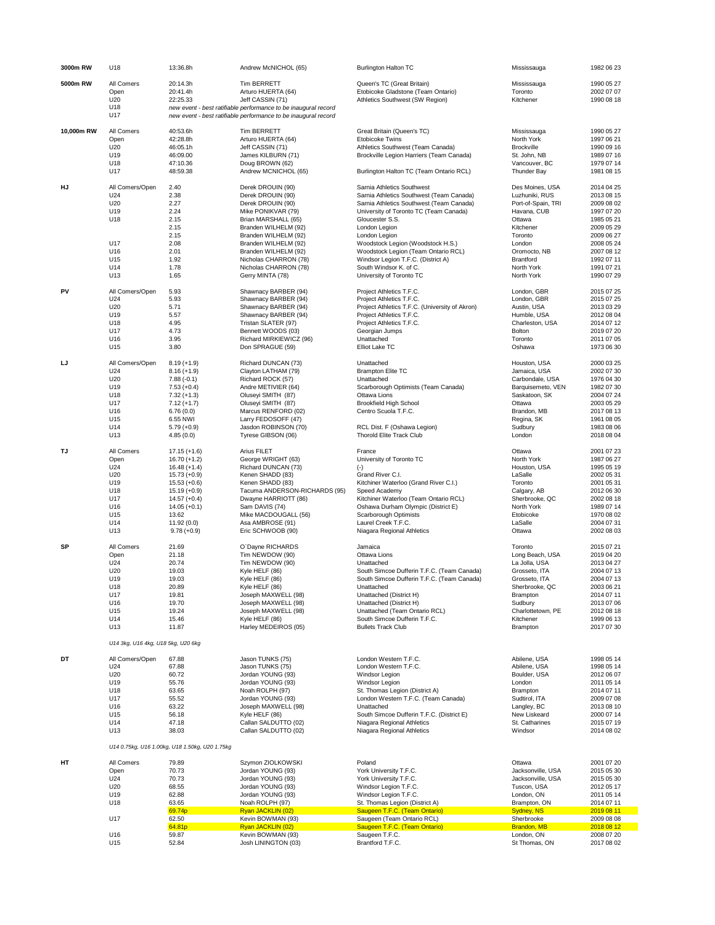| 3000m RW   | U18                                | 13:36.8h                                       | Andrew McNICHOL (65)                                           | <b>Burlington Halton TC</b>                                                          | Mississauga                          | 1982 06 23               |
|------------|------------------------------------|------------------------------------------------|----------------------------------------------------------------|--------------------------------------------------------------------------------------|--------------------------------------|--------------------------|
| 5000m RW   | All Comers                         | 20:14.3h                                       | Tim BERRETT                                                    | Queen's TC (Great Britain)                                                           | Mississauga                          | 1990 05 27               |
|            | Open<br>U20                        | 20:41.4h<br>22:25.33                           | Arturo HUERTA (64)<br>Jeff CASSIN (71)                         | Etobicoke Gladstone (Team Ontario)<br>Athletics Southwest (SW Region)                | Toronto<br>Kitchener                 | 2002 07 07<br>1990 08 18 |
|            | U18                                |                                                | new event - best ratifiable performance to be inaugural record |                                                                                      |                                      |                          |
|            | U17                                |                                                | new event - best ratifiable performance to be inaugural record |                                                                                      |                                      |                          |
| 10,000m RW | All Comers                         | 40:53.6h                                       | Tim BERRETT                                                    | Great Britain (Queen's TC)                                                           | Mississauga                          | 1990 05 27               |
|            | Open<br>U20                        | 42:28.8h<br>46:05.1h                           | Arturo HUERTA (64)<br>Jeff CASSIN (71)                         | Etobicoke Twins<br>Athletics Southwest (Team Canada)                                 | North York<br><b>Brockville</b>      | 1997 06 21<br>1990 09 16 |
|            | U19                                | 46:09.00                                       | James KILBURN (71)                                             | Brockville Legion Harriers (Team Canada)                                             | St. John, NB                         | 1989 07 16               |
|            | U18                                | 47:10.36                                       | Doug BROWN (62)                                                |                                                                                      | Vancouver, BC                        | 1979 07 14               |
|            | U17                                | 48:59.38                                       | Andrew MCNICHOL (65)                                           | Burlington Halton TC (Team Ontario RCL)                                              | <b>Thunder Bay</b>                   | 1981 08 15               |
| HJ         | All Comers/Open                    | 2.40                                           | Derek DROUIN (90)                                              | Sarnia Athletics Southwest                                                           | Des Moines, USA                      | 2014 04 25<br>2013 08 15 |
|            | U24<br>U20                         | 2.38<br>2.27                                   | Derek DROUIN (90)<br>Derek DROUIN (90)                         | Sarnia Athletics Southwest (Team Canada)<br>Sarnia Athletics Southwest (Team Canada) | Luzhuniki, RUS<br>Port-of-Spain, TRI | 2009 08 02               |
|            | U19                                | 2.24                                           | Mike PONIKVAR (79)                                             | University of Toronto TC (Team Canada)                                               | Havana, CUB                          | 1997 07 20               |
|            | U18                                | 2.15<br>2.15                                   | Brian MARSHALL (65)<br>Branden WILHELM (92)                    | Gloucester S.S.<br>London Legion                                                     | Ottawa<br>Kitchener                  | 1985 05 21<br>2009 05 29 |
|            |                                    | 2.15                                           | Branden WILHELM (92)                                           | London Legion                                                                        | Toronto                              | 2009 06 27               |
|            | U17<br>U16                         | 2.08<br>2.01                                   | Branden WILHELM (92)                                           | Woodstock Legion (Woodstock H.S.)                                                    | London<br>Oromocto, NB               | 2008 05 24<br>2007 08 12 |
|            | U15                                | 1.92                                           | Branden WILHELM (92)<br>Nicholas CHARRON (78)                  | Woodstock Legion (Team Ontario RCL)<br>Windsor Legion T.F.C. (District A)            | Brantford                            | 1992 07 11               |
|            | U14                                | 1.78                                           | Nicholas CHARRON (78)                                          | South Windsor K. of C.                                                               | North York                           | 1991 07 21               |
|            | U13                                | 1.65                                           | Gerry MINTA (78)                                               | University of Toronto TC                                                             | North York                           | 1990 07 29               |
| PV         | All Comers/Open                    | 5.93                                           | Shawnacy BARBER (94)                                           | Project Athletics T.F.C.                                                             | London, GBR                          | 2015 07 25               |
|            | U24<br>U20                         | 5.93<br>5.71                                   | Shawnacy BARBER (94)<br>Shawnacy BARBER (94)                   | Project Athletics T.F.C.<br>Project Athletics T.F.C. (University of Akron)           | London, GBR<br>Austin, USA           | 2015 07 25<br>2013 03 29 |
|            | U19                                | 5.57                                           | Shawnacy BARBER (94)                                           | Project Athletics T.F.C.                                                             | Humble, USA                          | 2012 08 04               |
|            | U18<br>U17                         | 4.95<br>4.73                                   | Tristan SLATER (97)<br>Bennett WOODS (03)                      | Project Athletics T.F.C.<br>Georgian Jumps                                           | Charleston, USA<br>Bolton            | 2014 07 12<br>2019 07 20 |
|            | U16                                | 3.95                                           | Richard MIRKIEWICZ (96)                                        | Unattached                                                                           | Toronto                              | 2011 07 05               |
|            | U15                                | 3.80                                           | Don SPRAGUE (59)                                               | Elliot Lake TC                                                                       | Oshawa                               | 1973 06 30               |
| LJ         | All Comers/Open                    | $8.19 (+1.9)$                                  | Richard DUNCAN (73)                                            | Unattached                                                                           | Houston, USA                         | 2000 03 25               |
|            | U24                                | $8.16 (+1.9)$                                  | Clayton LATHAM (79)                                            | <b>Brampton Elite TC</b>                                                             | Jamaica, USA                         | 2002 07 30               |
|            | U20<br>U19                         | $7.88(-0.1)$<br>$7.53 (+0.4)$                  | Richard ROCK (57)<br>Andre METIVIER (64)                       | Unattached<br>Scarborough Optimists (Team Canada)                                    | Carbondale, USA<br>Barquisemeto, VEN | 1976 04 30<br>1982 07 30 |
|            | U18                                | $7.32 (+1.3)$                                  | Oluseyi SMITH (87)                                             | Ottawa Lions                                                                         | Saskatoon, SK                        | 2004 07 24               |
|            | U17<br>U16                         | $7.12 (+1.7)$<br>6.76(0.0)                     | Oluseyi SMITH (87)<br>Marcus RENFORD (02)                      | <b>Brookfield High School</b><br>Centro Scuola T.F.C.                                | Ottawa<br>Brandon, MB                | 2003 05 29<br>2017 08 13 |
|            | U15                                | 6.55 NWI                                       | Larry FEDOSOFF (47)                                            |                                                                                      | Regina, SK                           | 1961 08 05               |
|            | U14                                | $5.79 (+0.9)$                                  | Jasdon ROBINSON (70)                                           | RCL Dist. F (Oshawa Legion)<br><b>Thorold Elite Track Club</b>                       | Sudbury                              | 1983 08 06               |
|            | U13                                | 4.85(0.0)                                      | Tyrese GIBSON (06)                                             |                                                                                      | London                               | 2018 08 04               |
| TJ         | All Comers<br>Open                 | $17.15 (+1.6)$<br>$16.70 (+1.2)$               | Arius FILET<br>George WRIGHT (63)                              | France<br>University of Toronto TC                                                   | Ottawa<br>North York                 | 2001 07 23<br>1987 06 27 |
|            | U24                                | $16.48 (+1.4)$                                 | Richard DUNCAN (73)                                            | $(\cdot)$                                                                            | Houston, USA                         | 1995 05 19               |
|            | U20                                | $15.73 (+0.9)$                                 | Kenen SHADD (83)                                               | Grand River C.I.                                                                     | LaSalle                              | 2002 05 31               |
|            | U19<br>U18                         | $15.53 (+0.6)$<br>$15.19 (+0.9)$               | Kenen SHADD (83)<br>Tacuma ANDERSON-RICHARDS (95)              | Kitchiner Waterloo (Grand River C.I.)<br>Speed Academy                               | Toronto<br>Calgary, AB               | 2001 05 31<br>2012 06 30 |
|            | U17                                | $14.57 (+0.4)$                                 | Dwayne HARRIOTT (86)                                           | Kitchiner Waterloo (Team Ontario RCL)                                                | Sherbrooke, QC                       | 2002 08 18               |
|            | U16<br>U15                         | $14.05 (+0.1)$<br>13.62                        | Sam DAVIS (74)<br>Mike MACDOUGALL (56)                         | Oshawa Durham Olympic (District E)<br>Scarborough Optimists                          | North York<br>Etobicoke              | 1989 07 14<br>1970 08 02 |
|            | U14                                | 11.92 (0.0)                                    | Asa AMBROSE (91)                                               | Laurel Creek T.F.C.                                                                  | LaSalle                              | 2004 07 31               |
|            | U13                                | $9.78(+0.9)$                                   | Eric SCHWOOB (90)                                              | Niagara Regional Athletics                                                           | Ottawa                               | 2002 08 03               |
| SP         | All Comers                         | 21.69                                          | O'Dayne RICHARDS                                               | Jamaica                                                                              | Toronto                              | 2015 07 21               |
|            | Open<br>U24                        | 21.18<br>20.74                                 | Tim NEWDOW (90)<br>Tim NEWDOW (90)                             | Ottawa Lions<br>Unattached                                                           | Long Beach, USA<br>La Jolla, USA     | 2019 04 20<br>2013 04 27 |
|            | U20                                | 19.03                                          | Kyle HELF (86)                                                 | South Simcoe Dufferin T.F.C. (Team Canada)                                           | Grosseto, ITA                        | 2004 07 13               |
|            | U19<br>U18                         | 19.03<br>20.89                                 | Kyle HELF (86)<br>Kyle HELF (86)                               | South Simcoe Dufferin T.F.C. (Team Canada)<br>Unattached                             | Grosseto, ITA<br>Sherbrooke, QC      | 2004 07 13<br>2003 06 21 |
|            | U17                                | 19.81                                          | Joseph MAXWELL (98)                                            | Unattached (District H)                                                              | Brampton                             | 2014 07 11               |
|            | U16                                | 19.70                                          | Joseph MAXWELL (98)                                            | Unattached (District H)                                                              | Sudbury                              | 2013 07 06               |
|            | U15<br>U14                         | 19.24<br>15.46                                 | Joseph MAXWELL (98)<br>Kyle HELF (86)                          | Unattached (Team Ontario RCL)<br>South Simcoe Dufferin T.F.C.                        | Charlottetown, PE<br>Kitchener       | 2012 08 18<br>1999 06 13 |
|            | U13                                | 11.87                                          | Harley MEDEIROS (05)                                           | <b>Bullets Track Club</b>                                                            | Brampton                             | 2017 07 30               |
|            | U14 3kg, U16 4kg, U18 5kg, U20 6kg |                                                |                                                                |                                                                                      |                                      |                          |
| DT         | All Comers/Open                    | 67.88                                          | Jason TUNKS (75)                                               | London Western T.F.C.                                                                | Abilene, USA                         | 1998 05 14               |
|            | U24                                | 67.88                                          | Jason TUNKS (75)                                               | London Western T.F.C.                                                                | Abilene, USA                         | 1998 05 14               |
|            | U20                                | 60.72                                          | Jordan YOUNG (93)<br>Jordan YOUNG (93)                         | Windsor Legion<br>Windsor Legion                                                     | Boulder, USA                         | 2012 06 07               |
|            | U19<br>U18                         | 55.76<br>63.65                                 | Noah ROLPH (97)                                                | St. Thomas Legion (District A)                                                       | London<br>Brampton                   | 2011 05 14<br>2014 07 11 |
|            | U17                                | 55.52                                          | Jordan YOUNG (93)                                              | London Western T.F.C. (Team Canada)                                                  | Sudtirol, ITA                        | 2009 07 08               |
|            | U16<br>U15                         | 63.22<br>56.18                                 | Joseph MAXWELL (98)<br>Kyle HELF (86)                          | Unattached<br>South Simcoe Dufferin T.F.C. (District E)                              | Langley, BC<br>New Liskeard          | 2013 08 10<br>2000 07 14 |
|            | U14                                | 47.18                                          | Callan SALDUTTO (02)                                           | Niagara Regional Athletics                                                           | St. Catharines                       | 2015 07 19               |
|            | U13                                | 38.03                                          | Callan SALDUTTO (02)                                           | Niagara Regional Athletics                                                           | Windsor                              | 2014 08 02               |
|            |                                    | U14 0.75kg, U16 1.00kg, U18 1.50kg, U20 1.75kg |                                                                |                                                                                      |                                      |                          |
| HT         | All Comers                         | 79.89                                          | Szymon ZIOLKOWSKI                                              | Poland                                                                               | Ottawa                               | 2001 07 20               |
|            | Open                               | 70.73                                          | Jordan YOUNG (93)                                              | York University T.F.C.                                                               | Jacksonville, USA                    | 2015 05 30               |
|            | U24<br>U20                         | 70.73<br>68.55                                 | Jordan YOUNG (93)<br>Jordan YOUNG (93)                         | York University T.F.C.<br>Windsor Legion T.F.C.                                      | Jacksonville, USA<br>Tuscon, USA     | 2015 05 30<br>2012 05 17 |
|            | U19                                | 62.88                                          | Jordan YOUNG (93)                                              | Windsor Legion T.F.C.                                                                | London, ON                           | 2011 05 14               |
|            | U18                                | 63.65                                          | Noah ROLPH (97)<br>Ryan JACKLIN (02)                           | St. Thomas Legion (District A)<br>Saugeen T.F.C. (Team Ontario)                      | Brampton, ON<br>Sydney, NS           | 2014 07 11               |
|            | U17                                | 69.74p<br>62.50                                | Kevin BOWMAN (93)                                              | Saugeen (Team Ontario RCL)                                                           | Sherbrooke                           | 2019 08 11<br>2009 08 08 |
|            |                                    | 64.81p                                         | Ryan JACKLIN (02)                                              | Saugeen T.F.C. (Team Ontario)                                                        | Brandon, MB                          | 2018 08 12               |
|            | U16<br>U15                         | 59.87<br>52.84                                 | Kevin BOWMAN (93)<br>Josh LININGTON (03)                       | Saugeen T.F.C.<br>Brantford T.F.C.                                                   | London, ON<br>St Thomas, ON          | 2008 07 20<br>2017 08 02 |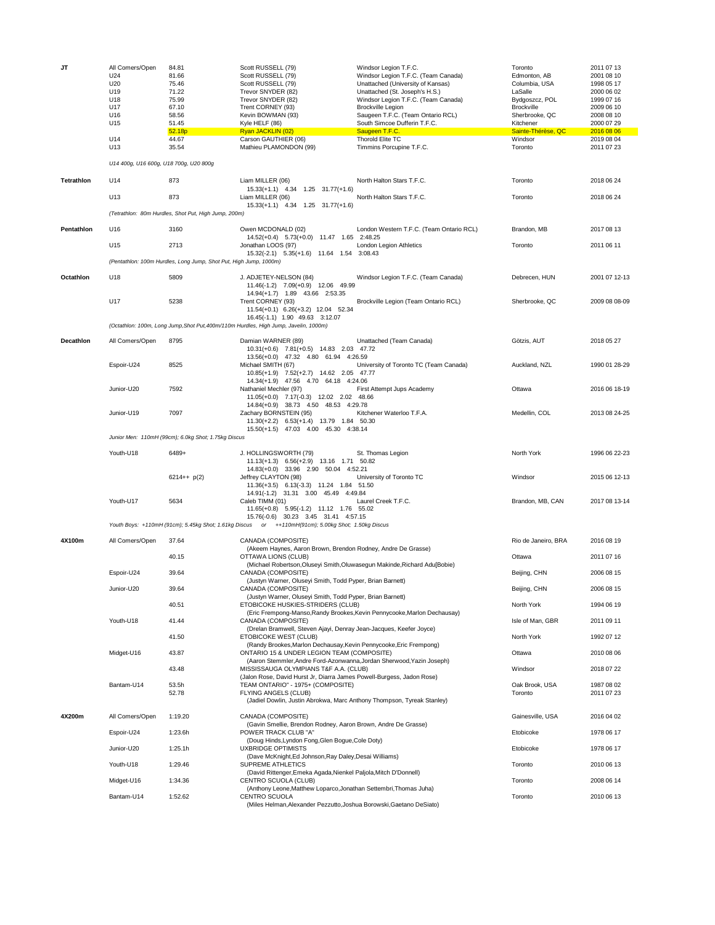| JT                | All Comers/Open<br>U24<br>U20<br>U19<br>U18<br>U17<br>U16 | 84.81<br>81.66<br>75.46<br>71.22<br>75.99<br>67.10<br>58.56       | Scott RUSSELL (79)<br>Scott RUSSELL (79)<br>Scott RUSSELL (79)<br>Trevor SNYDER (82)<br>Trevor SNYDER (82)<br>Trent CORNEY (93)<br>Kevin BOWMAN (93)                                                         | Windsor Legion T.F.C.<br>Windsor Legion T.F.C. (Team Canada)<br>Unattached (University of Kansas)<br>Unattached (St. Joseph's H.S.)<br>Windsor Legion T.F.C. (Team Canada)<br><b>Brockville Legion</b><br>Saugeen T.F.C. (Team Ontario RCL) | Toronto<br>Edmonton, AB<br>Columbia, USA<br>LaSalle<br>Bydgoszcz, POL<br><b>Brockville</b><br>Sherbrooke, QC | 2011 07 13<br>2001 08 10<br>1998 05 17<br>2000 06 02<br>1999 07 16<br>2009 06 10<br>2008 08 10 |
|-------------------|-----------------------------------------------------------|-------------------------------------------------------------------|--------------------------------------------------------------------------------------------------------------------------------------------------------------------------------------------------------------|---------------------------------------------------------------------------------------------------------------------------------------------------------------------------------------------------------------------------------------------|--------------------------------------------------------------------------------------------------------------|------------------------------------------------------------------------------------------------|
|                   | U15                                                       | 51.45<br>52.18p                                                   | Kyle HELF (86)<br>Ryan JACKLIN (02)                                                                                                                                                                          | South Simcoe Dufferin T.F.C.<br>Saugeen T.F.C.                                                                                                                                                                                              | Kitchener<br>Sainte-Thérèse, QC                                                                              | 2000 07 29<br>2016 08 06                                                                       |
|                   | U14<br>U13                                                | 44.67<br>35.54                                                    | Carson GAUTHIER (06)<br>Mathieu PLAMONDON (99)                                                                                                                                                               | Thorold Elite TC<br>Timmins Porcupine T.F.C.                                                                                                                                                                                                | Windsor<br>Toronto                                                                                           | 2019 08 04<br>2011 07 23                                                                       |
|                   | U14 400g, U16 600g, U18 700g, U20 800g                    |                                                                   |                                                                                                                                                                                                              |                                                                                                                                                                                                                                             |                                                                                                              |                                                                                                |
| <b>Tetrathion</b> | U14                                                       | 873                                                               | Liam MILLER (06)<br>15.33(+1.1) 4.34 1.25 31.77(+1.6)                                                                                                                                                        | North Halton Stars T.F.C.                                                                                                                                                                                                                   | Toronto                                                                                                      | 2018 06 24                                                                                     |
|                   | U13                                                       | 873                                                               | Liam MILLER (06)<br>15.33(+1.1) 4.34 1.25 31.77(+1.6)                                                                                                                                                        | North Halton Stars T.F.C.                                                                                                                                                                                                                   | Toronto                                                                                                      | 2018 06 24                                                                                     |
|                   |                                                           | (Tetrathlon: 80m Hurdles, Shot Put, High Jump, 200m)              |                                                                                                                                                                                                              |                                                                                                                                                                                                                                             |                                                                                                              |                                                                                                |
| Pentathlon        | U16                                                       | 3160                                                              | Owen MCDONALD (02)<br>14.52(+0.4) 5.73(+0.0) 11.47 1.65 2:48.25                                                                                                                                              | London Western T.F.C. (Team Ontario RCL)                                                                                                                                                                                                    | Brandon, MB                                                                                                  | 2017 08 13                                                                                     |
|                   | U15                                                       | 2713                                                              | Jonathan LOOS (97)<br>15.32(-2.1) 5.35(+1.6) 11.64 1.54 3:08.43                                                                                                                                              | London Legion Athletics                                                                                                                                                                                                                     | Toronto                                                                                                      | 2011 06 11                                                                                     |
|                   |                                                           | (Pentathlon: 100m Hurdles, Long Jump, Shot Put, High Jump, 1000m) |                                                                                                                                                                                                              |                                                                                                                                                                                                                                             |                                                                                                              |                                                                                                |
| Octathlon         | U18                                                       | 5809                                                              | J. ADJETEY-NELSON (84)<br>11.46(-1.2) 7.09(+0.9) 12.06 49.99<br>14.94(+1.7) 1.89 43.66 2:53.35                                                                                                               | Windsor Legion T.F.C. (Team Canada)                                                                                                                                                                                                         | Debrecen, HUN                                                                                                | 2001 07 12-13                                                                                  |
|                   | U17                                                       | 5238                                                              | Trent CORNEY (93)<br>11.54(+0.1) 6.26(+3.2) 12.04 52.34<br>16.45(-1.1) 1.90 49.63 3:12.07                                                                                                                    | Brockville Legion (Team Ontario RCL)                                                                                                                                                                                                        | Sherbrooke, QC                                                                                               | 2009 08 08-09                                                                                  |
|                   |                                                           |                                                                   | (Octathlon: 100m, Long Jump, Shot Put, 400m/110m Hurdles, High Jump, Javelin, 1000m)                                                                                                                         |                                                                                                                                                                                                                                             |                                                                                                              |                                                                                                |
| Decathlon         | All Comers/Open                                           | 8795                                                              | Damian WARNER (89)<br>10.31(+0.6) 7.81(+0.5) 14.83 2.03 47.72                                                                                                                                                | Unattached (Team Canada)                                                                                                                                                                                                                    | Götzis, AUT                                                                                                  | 2018 05 27                                                                                     |
|                   | Espoir-U24                                                | 8525                                                              | 13.56(+0.0) 47.32 4.80 61.94 4:26.59<br>Michael SMITH (67)<br>10.85(+1.9) 7.52(+2.7) 14.62 2.05 47.77                                                                                                        | University of Toronto TC (Team Canada)                                                                                                                                                                                                      | Auckland, NZL                                                                                                | 1990 01 28-29                                                                                  |
|                   | Junior-U20                                                | 7592                                                              | 14.34(+1.9) 47.56 4.70 64.18 4:24.06<br>Nathaniel Mechler (97)<br>11.05(+0.0) 7.17(-0.3) 12.02 2.02 48.66                                                                                                    | First Attempt Jups Academy                                                                                                                                                                                                                  | Ottawa                                                                                                       | 2016 06 18-19                                                                                  |
|                   | Junior-U19                                                | 7097                                                              | 14.84(+0.9) 38.73 4.50 48.53 4:29.78<br>Zachary BORNSTEIN (95)<br>11.30(+2.2) 6.53(+1.4) 13.79 1.84 50.30                                                                                                    | Kitchener Waterloo T.F.A.                                                                                                                                                                                                                   | Medellin, COL                                                                                                | 2013 08 24-25                                                                                  |
|                   |                                                           | Junior Men: 110mH (99cm); 6.0kg Shot; 1.75kg Discus               | 15.50(+1.5) 47.03 4.00 45.30 4:38.14                                                                                                                                                                         |                                                                                                                                                                                                                                             |                                                                                                              |                                                                                                |
|                   | Youth-U18                                                 | 6489+                                                             | J. HOLLINGSWORTH (79)<br>11.13(+1.3) 6.56(+2.9) 13.16 1.71 50.82                                                                                                                                             | St. Thomas Legion                                                                                                                                                                                                                           | North York                                                                                                   | 1996 06 22-23                                                                                  |
|                   |                                                           | $6214++ p(2)$                                                     | 14.83(+0.0) 33.96 2.90 50.04 4:52.21<br>Jeffrey CLAYTON (98)<br>11.36(+3.5) 6.13(-3.3) 11.24 1.84 51.50                                                                                                      | University of Toronto TC                                                                                                                                                                                                                    | Windsor                                                                                                      | 2015 06 12-13                                                                                  |
|                   | Youth-U17                                                 | 5634                                                              | 14.91(-1.2) 31.31 3.00 45.49 4:49.84<br>Caleb TIMM (01)<br>11.65(+0.8) 5.95(-1.2) 11.12 1.76 55.02                                                                                                           | Laurel Creek T.F.C.                                                                                                                                                                                                                         | Brandon, MB, CAN                                                                                             | 2017 08 13-14                                                                                  |
|                   |                                                           |                                                                   | 15.76(-0.6) 30.23 3.45 31.41 4:57.15<br>Youth Boys: +110mH (91cm); 5.45kg Shot; 1.61kg Discus or ++110mH(91cm); 5.00kg Shot; 1.50kg Discus                                                                   |                                                                                                                                                                                                                                             |                                                                                                              |                                                                                                |
| 4X100m            | All Comers/Open                                           | 37.64                                                             | CANADA (COMPOSITE)<br>(Akeem Haynes, Aaron Brown, Brendon Rodney, Andre De Grasse)                                                                                                                           |                                                                                                                                                                                                                                             | Rio de Janeiro, BRA                                                                                          | 2016 08 19                                                                                     |
|                   |                                                           | 40.15                                                             | OTTAWA LIONS (CLUB)<br>(Michael Robertson, Oluseyi Smith, Oluwasegun Makinde, Richard Adu[Bobie)                                                                                                             |                                                                                                                                                                                                                                             | Ottawa                                                                                                       | 2011 07 16                                                                                     |
|                   | Espoir-U24                                                | 39.64                                                             | CANADA (COMPOSITE)<br>(Justyn Warner, Oluseyi Smith, Todd Pyper, Brian Barnett)                                                                                                                              |                                                                                                                                                                                                                                             | Beijing, CHN                                                                                                 | 2006 08 15                                                                                     |
|                   | Junior-U20                                                | 39.64                                                             | CANADA (COMPOSITE)<br>(Justyn Warner, Oluseyi Smith, Todd Pyper, Brian Barnett)                                                                                                                              |                                                                                                                                                                                                                                             | Beijing, CHN                                                                                                 | 2006 08 15                                                                                     |
|                   |                                                           | 40.51                                                             | ETOBICOKE HUSKIES-STRIDERS (CLUB)                                                                                                                                                                            | (Eric Frempong-Manso, Randy Brookes, Kevin Pennycooke, Marlon Dechausay)                                                                                                                                                                    | North York                                                                                                   | 1994 06 19                                                                                     |
|                   | Youth-U18                                                 | 41.44                                                             | CANADA (COMPOSITE)                                                                                                                                                                                           |                                                                                                                                                                                                                                             | Isle of Man, GBR                                                                                             | 2011 09 11                                                                                     |
|                   |                                                           | 41.50                                                             | (Drelan Bramwell, Steven Ajayi, Denray Jean-Jacques, Keefer Joyce)<br>ETOBICOKE WEST (CLUB)                                                                                                                  |                                                                                                                                                                                                                                             | North York                                                                                                   | 1992 07 12                                                                                     |
|                   | Midget-U16                                                | 43.87                                                             | (Randy Brookes, Marlon Dechausay, Kevin Pennycooke, Eric Frempong)<br>ONTARIO 15 & UNDER LEGION TEAM (COMPOSITE)                                                                                             |                                                                                                                                                                                                                                             | Ottawa                                                                                                       | 2010 08 06                                                                                     |
|                   |                                                           | 43.48                                                             | (Aaron Stemmler, Andre Ford-Azonwanna, Jordan Sherwood, Yazin Joseph)<br>MISSISSAUGA OLYMPIANS T&F A.A. (CLUB)                                                                                               |                                                                                                                                                                                                                                             | Windsor                                                                                                      | 2018 07 22                                                                                     |
|                   | Bantam-U14                                                | 53.5h<br>52.78                                                    | (Jalon Rose, David Hurst Jr, Diarra James Powell-Burgess, Jadon Rose)<br>TEAM ONTARIO" - 1975+ (COMPOSITE)<br>FLYING ANGELS (CLUB)<br>(Jadiel Dowlin, Justin Abrokwa, Marc Anthony Thompson, Tyreak Stanley) |                                                                                                                                                                                                                                             | Oak Brook, USA<br>Toronto                                                                                    | 1987 08 02<br>2011 07 23                                                                       |
| 4X200m            | All Comers/Open                                           | 1:19.20                                                           | CANADA (COMPOSITE)                                                                                                                                                                                           |                                                                                                                                                                                                                                             | Gainesville, USA                                                                                             | 2016 04 02                                                                                     |
|                   | Espoir-U24                                                | 1:23.6h                                                           | (Gavin Smellie, Brendon Rodney, Aaron Brown, Andre De Grasse)<br>POWER TRACK CLUB "A"                                                                                                                        |                                                                                                                                                                                                                                             | Etobicoke                                                                                                    | 1978 06 17                                                                                     |
|                   | Junior-U20                                                | 1:25.1h                                                           | (Doug Hinds, Lyndon Fong, Glen Bogue, Cole Doty)<br><b>UXBRIDGE OPTIMISTS</b>                                                                                                                                |                                                                                                                                                                                                                                             | Etobicoke                                                                                                    | 1978 06 17                                                                                     |
|                   |                                                           |                                                                   | (Dave McKnight, Ed Johnson, Ray Daley, Desai Williams)                                                                                                                                                       |                                                                                                                                                                                                                                             |                                                                                                              |                                                                                                |
|                   | Youth-U18                                                 | 1:29.46                                                           | SUPREME ATHLETICS<br>(David Rittenger, Emeka Agada, Nienkel Paljola, Mitch D'Donnell)                                                                                                                        |                                                                                                                                                                                                                                             | Toronto                                                                                                      | 2010 06 13                                                                                     |
|                   | Midget-U16                                                | 1:34.36                                                           | CENTRO SCUOLA (CLUB)<br>(Anthony Leone, Matthew Loparco, Jonathan Settembri, Thomas Juha)                                                                                                                    |                                                                                                                                                                                                                                             | Toronto                                                                                                      | 2008 06 14                                                                                     |
|                   | Bantam-U14                                                | 1:52.62                                                           | CENTRO SCUOLA<br>(Miles Helman, Alexander Pezzutto, Joshua Borowski, Gaetano DeSiato)                                                                                                                        |                                                                                                                                                                                                                                             | Toronto                                                                                                      | 2010 06 13                                                                                     |